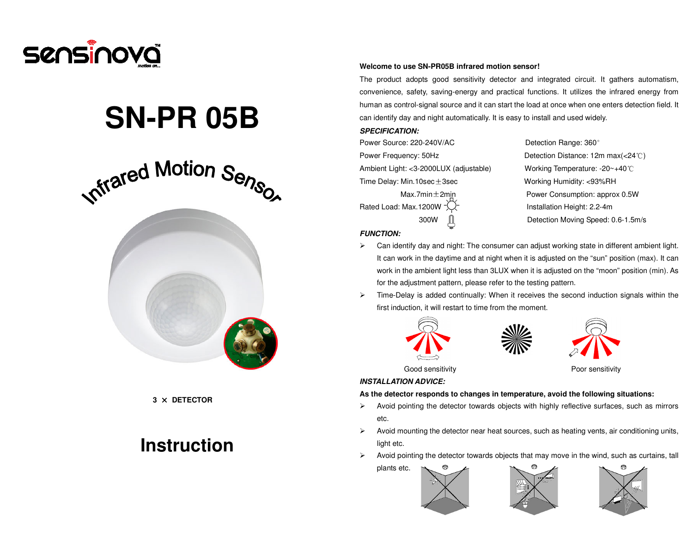

# **SN-PR 05B**



**3** × **DETECTOR** 

## **Instruction**

#### **Welcome to use SN-PR05B infrared motion sensor!**

The product adopts good sensitivity detector and integrated circuit. It gathers automatism, convenience, safety, saving-energy and practical functions. It utilizes the infrared energy from human as control-signal source and it can start the load at once when one enters detection field. It can identify day and night automatically. It is easy to install and used widely.

#### **SPECIFICATION:**

Power Source: 220-240V/AC Detection Range: 360° Power Frequency: 50Hz Detection Distance: 12m max(<24℃)Ambient Light: <3-2000LUX (adjustable) Working Temperature: -20~+40℃Time Delay: Min.10sec ± 3sec Working Humidity: <93%RH

Rated Load: Max.1200W  $\sqrt{2}$  Installation Height: 2.2-4m

Max.7min $\pm$ 2min American Power Consumption: approx 0.5W 300W Detection Moving Speed: 0.6-1.5m/s

#### **FUNCTION:**

- Can identify day and night: The consumer can adjust working state in different ambient light. It can work in the daytime and at night when it is adjusted on the "sun" position (max). It can work in the ambient light less than 3LUX when it is adjusted on the "moon" position (min). As for the adjustment pattern, please refer to the testing pattern.
- $\triangleright$  Time-Delay is added continually: When it receives the second induction signals within the first induction, it will restart to time from the moment.







Good sensitivity example and the example of Poor sensitivity

#### **INSTALLATION ADVICE:**

#### **As the detector responds to changes in temperature, avoid the following situations:**

- $\triangleright$  Avoid pointing the detector towards objects with highly reflective surfaces, such as mirrors etc.
- $\triangleright$  Avoid mounting the detector near heat sources, such as heating vents, air conditioning units, light etc.
- $\triangleright$  Avoid pointing the detector towards objects that may move in the wind, such as curtains, tall